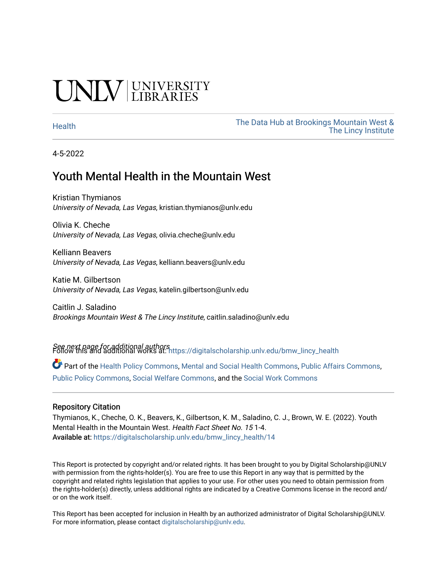# **INIVERSITY**

[Health](https://digitalscholarship.unlv.edu/bmw_lincy_health) [The Data Hub at Brookings Mountain West &](https://digitalscholarship.unlv.edu/bmw_lincy_datahub)  [The Lincy Institute](https://digitalscholarship.unlv.edu/bmw_lincy_datahub) 

4-5-2022

### Youth Mental Health in the Mountain West

Kristian Thymianos University of Nevada, Las Vegas, kristian.thymianos@unlv.edu

Olivia K. Cheche University of Nevada, Las Vegas, olivia.cheche@unlv.edu

Kelliann Beavers University of Nevada, Las Vegas, kelliann.beavers@unlv.edu

Katie M. Gilbertson University of Nevada, Las Vegas, katelin.gilbertson@unlv.edu

Caitlin J. Saladino Brookings Mountain West & The Lincy Institute, caitlin.saladino@unlv.edu

See next page for additional authors Follow this and additional works at: [https://digitalscholarship.unlv.edu/bmw\\_lincy\\_health](https://digitalscholarship.unlv.edu/bmw_lincy_health?utm_source=digitalscholarship.unlv.edu%2Fbmw_lincy_health%2F14&utm_medium=PDF&utm_campaign=PDFCoverPages)

Part of the [Health Policy Commons](http://network.bepress.com/hgg/discipline/395?utm_source=digitalscholarship.unlv.edu%2Fbmw_lincy_health%2F14&utm_medium=PDF&utm_campaign=PDFCoverPages), [Mental and Social Health Commons](http://network.bepress.com/hgg/discipline/709?utm_source=digitalscholarship.unlv.edu%2Fbmw_lincy_health%2F14&utm_medium=PDF&utm_campaign=PDFCoverPages), [Public Affairs Commons](http://network.bepress.com/hgg/discipline/399?utm_source=digitalscholarship.unlv.edu%2Fbmw_lincy_health%2F14&utm_medium=PDF&utm_campaign=PDFCoverPages), [Public Policy Commons](http://network.bepress.com/hgg/discipline/400?utm_source=digitalscholarship.unlv.edu%2Fbmw_lincy_health%2F14&utm_medium=PDF&utm_campaign=PDFCoverPages), [Social Welfare Commons,](http://network.bepress.com/hgg/discipline/401?utm_source=digitalscholarship.unlv.edu%2Fbmw_lincy_health%2F14&utm_medium=PDF&utm_campaign=PDFCoverPages) and the [Social Work Commons](http://network.bepress.com/hgg/discipline/713?utm_source=digitalscholarship.unlv.edu%2Fbmw_lincy_health%2F14&utm_medium=PDF&utm_campaign=PDFCoverPages)

#### Repository Citation

Thymianos, K., Cheche, O. K., Beavers, K., Gilbertson, K. M., Saladino, C. J., Brown, W. E. (2022). Youth Mental Health in the Mountain West. Health Fact Sheet No. 15 1-4. Available at: [https://digitalscholarship.unlv.edu/bmw\\_lincy\\_health/14](https://digitalscholarship.unlv.edu/bmw_lincy_health/14) 

This Report is protected by copyright and/or related rights. It has been brought to you by Digital Scholarship@UNLV with permission from the rights-holder(s). You are free to use this Report in any way that is permitted by the copyright and related rights legislation that applies to your use. For other uses you need to obtain permission from the rights-holder(s) directly, unless additional rights are indicated by a Creative Commons license in the record and/ or on the work itself.

This Report has been accepted for inclusion in Health by an authorized administrator of Digital Scholarship@UNLV. For more information, please contact [digitalscholarship@unlv.edu.](mailto:digitalscholarship@unlv.edu)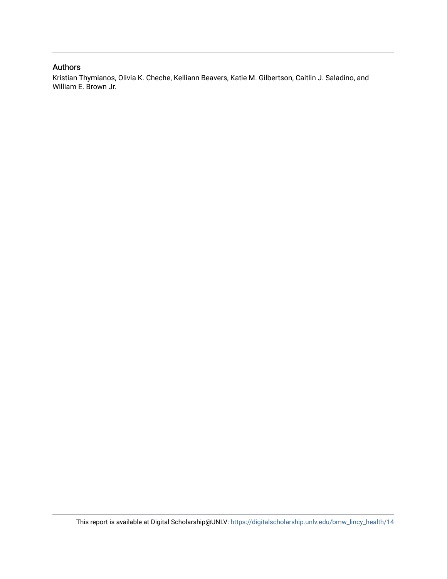#### Authors

Kristian Thymianos, Olivia K. Cheche, Kelliann Beavers, Katie M. Gilbertson, Caitlin J. Saladino, and William E. Brown Jr.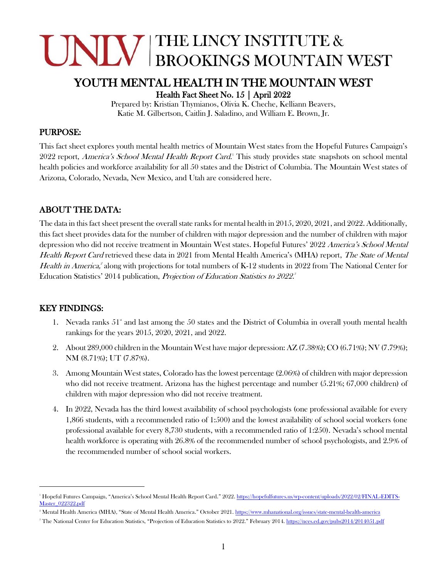# JNIN THE LINCY INSTITUTE & **BROOKINGS MOUNTAIN WEST**

### YOUTH MENTAL HEALTH IN THE MOUNTAIN WEST

Health Fact Sheet No. 15 | April 2022

Prepared by: Kristian Thymianos, Olivia K. Cheche, Kelliann Beavers, Katie M. Gilbertson, Caitlin J. Saladino, and William E. Brown, Jr.

#### PURPOSE:

This fact sheet explores youth mental health metrics of Mountain West states from the Hopeful Futures Campaign's 2022 report, America's School Mental Health Report Card.<sup>1</sup> This study provides state snapshots on school mental health policies and workforce availability for all 50 states and the District of Columbia. The Mountain West states of Arizona, Colorado, Nevada, New Mexico, and Utah are considered here.

#### ABOUT THE DATA:

The data in this fact sheet present the overall state ranks for mental health in 2015, 2020, 2021, and 2022. Additionally, this fact sheet provides data for the number of children with major depression and the number of children with major depression who did not receive treatment in Mountain West states. Hopeful Futures' 2022 America's School Mental Health Report Card retrieved these data in 2021 from Mental Health America's (MHA) report, The State of Mental Health in America,<sup>2</sup> along with projections for total numbers of K-12 students in 2022 from The National Center for Education Statistics' 2014 publication, Projection of Education Statistics to 2022.

#### KEY FINDINGS:

- 1. Nevada ranks  $51^*$  and last among the  $50$  states and the District of Columbia in overall youth mental health rankings for the years 2015, 2020, 2021, and 2022.
- 2. About 289,000 children in the Mountain West have major depression: AZ (7.38%); CO (6.71%); NV (7.79%); NM (8.71%); UT (7.87%).
- 3. Among Mountain West states, Colorado has the lowest percentage (2.06%) of children with major depression who did not receive treatment. Arizona has the highest percentage and number (5.21%; 67,000 children) of children with major depression who did not receive treatment.
- 4. In 2022, Nevada has the third lowest availability of school psychologists (one professional available for every 1,866 students, with a recommended ratio of 1:500) and the lowest availability of school social workers (one professional available for every 8,730 students, with a recommended ratio of 1:250). Nevada's school mental health workforce is operating with 26.8% of the recommended number of school psychologists, and 2.9% of the recommended number of school social workers.

<sup>1</sup> Hopeful Futures Campaign, "America's School Mental Health Report Card." 2022[. https://hopefulfutures.us/wp-content/uploads/2022/02/FINAL-EDITS-](https://hopefulfutures.us/wp-content/uploads/2022/02/FINAL-EDITS-Master_022322.pdf)[Master\\_022322.pdf](https://hopefulfutures.us/wp-content/uploads/2022/02/FINAL-EDITS-Master_022322.pdf)

<sup>&</sup>lt;sup>2</sup> Mental Health America (MHA), "State of Mental Health America." October 2021[. https://www.mhanational.org/issues/state-mental-health-america](https://www.mhanational.org/issues/state-mental-health-america)

<sup>&</sup>lt;sup>3</sup> The National Center for Education Statistics, "Projection of Education Statistics to 2022." February 2014[. https://nces.ed.gov/pubs2014/2014051.pdf](https://nces.ed.gov/pubs2014/2014051.pdf)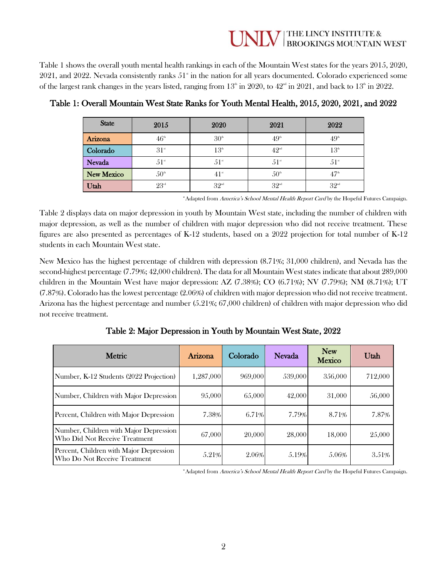## THE LINCY INSTITUTE &<br>BROOKINGS MOUNTAIN WEST

Table 1 shows the overall youth mental health rankings in each of the Mountain West states for the years 2015, 2020,  $2021$ , and  $2022$ . Nevada consistently ranks  $51<sup>*</sup>$  in the nation for all years documented. Colorado experienced some of the largest rank changes in the years listed, ranging from  $13<sup>th</sup>$  in 2020, to  $42<sup>nd</sup>$  in 2021, and back to  $13<sup>th</sup>$  in 2022.

| <b>State</b>      | 2015                | 2020               | 2021                              | 2022             |
|-------------------|---------------------|--------------------|-----------------------------------|------------------|
| Arizona           | $46^{\rm \tiny th}$ | 30 <sup>th</sup>   | 49 <sup>th</sup>                  | 49 <sup>th</sup> |
| Colorado          | 31 <sup>st</sup>    | $13^{\rm th}$      | $42^{\scriptscriptstyle{\rm nd}}$ | 13 <sup>th</sup> |
| <b>Nevada</b>     | $51^{\rm st}$       | $51$ <sup>st</sup> | $51^{\rm st}$                     | $51^{\rm st}$    |
| <b>New Mexico</b> | 50 <sup>th</sup>    | $41$ <sup>st</sup> | 50 <sup>th</sup>                  | $47^{\circ}$     |
| Utah              | 23 <sup>rd</sup>    | 32 <sup>nd</sup>   | 32 <sup>nd</sup>                  | 32 <sup>nd</sup> |

Table 1: Overall Mountain West State Ranks for Youth Mental Health, 2015, 2020, 2021, and 2022

\*Adapted from America's School Mental Health Report Card by the Hopeful Futures Campaign.

Table 2 displays data on major depression in youth by Mountain West state, including the number of children with major depression, as well as the number of children with major depression who did not receive treatment. These figures are also presented as percentages of K-12 students, based on a 2022 projection for total number of K-12 students in each Mountain West state.

New Mexico has the highest percentage of children with depression (8.71%; 31,000 children), and Nevada has the second-highest percentage (7.79%; 42,000 children). The data for all Mountain West states indicate that about 289,000 children in the Mountain West have major depression: AZ (7.38%); CO (6.71%); NV (7.79%); NM (8.71%); UT (7.87%). Colorado has the lowest percentage (2.06%) of children with major depression who did not receive treatment. Arizona has the highest percentage and number (5.21%; 67,000 children) of children with major depression who did not receive treatment.

Table 2: Major Depression in Youth by Mountain West State, 2022

| Metric                                                                  | Arizona   | Colorado | Nevada  | <b>New</b><br><b>Mexico</b> | Utah    |
|-------------------------------------------------------------------------|-----------|----------|---------|-----------------------------|---------|
| Number, K-12 Students (2022 Projection)                                 | 1,287,000 | 969,000  | 539,000 | 356,000                     | 712,000 |
| Number, Children with Major Depression                                  | 95,000    | 65,000   | 42,000  | 31,000                      | 56,000  |
| Percent, Children with Major Depression                                 | 7.38%     | 6.71%    | 7.79%   | 8.71%                       | 7.87%   |
| Number, Children with Major Depression<br>Who Did Not Receive Treatment | 67,000    | 20,000   | 28,000  | 18,000                      | 25,000  |
| Percent, Children with Major Depression<br>Who Do Not Receive Treatment | 5.21%     | 2.06%    | 5.19%   | 5.06%                       | 3.51%   |

\*Adapted from America's School Mental Health Report Card by the Hopeful Futures Campaign.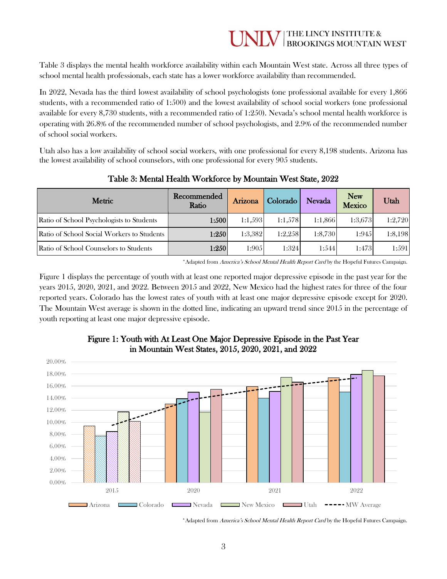#### THE LINCY INSTITUTE & **BROOKINGS MOUNTAIN WEST**

Table 3 displays the mental health workforce availability within each Mountain West state. Across all three types of school mental health professionals, each state has a lower workforce availability than recommended.

In 2022, Nevada has the third lowest availability of school psychologists (one professional available for every 1,866 students, with a recommended ratio of 1:500) and the lowest availability of school social workers (one professional available for every 8,730 students, with a recommended ratio of 1:250). Nevada's school mental health workforce is operating with 26.8% of the recommended number of school psychologists, and 2.9% of the recommended number of school social workers.

Utah also has a low availability of school social workers, with one professional for every 8,198 students. Arizona has the lowest availability of school counselors, with one professional for every 905 students.

| <b>Metric</b>                              | Recommended<br>Ratio | Arizona | Colorado | <b>Nevada</b> | <b>New</b><br><b>Mexico</b> | Utah    |
|--------------------------------------------|----------------------|---------|----------|---------------|-----------------------------|---------|
| Ratio of School Psychologists to Students  | 1:500                | 1:1.593 | 1:1,578  | 1:1,866       | 1:3,673                     | 1:2,720 |
| Ratio of School Social Workers to Students | 1:250                | 1:3,382 | 1:2,258  | 1:8,730       | 1:945                       | 1:8,198 |
| Ratio of School Counselors to Students     | 1:250                | 1:905   | 1:324    | 1:544         | 1:473                       | 1:591   |

#### Table 3: Mental Health Workforce by Mountain West State, 2022

\* Adapted from America's School Mental Health Report Card by the Hopeful Futures Campaign.

Figure 1 displays the percentage of youth with at least one reported major depressive episode in the past year for the years 2015, 2020, 2021, and 2022. Between 2015 and 2022, New Mexico had the highest rates for three of the four reported years. Colorado has the lowest rates of youth with at least one major depressive episode except for 2020. The Mountain West average is shown in the dotted line, indicating an upward trend since 2015 in the percentage of youth reporting at least one major depressive episode.



#### Figure 1: Youth with At Least One Major Depressive Episode in the Past Year in Mountain West States, 2015, 2020, 2021, and 2022

\*Adapted from America's School Mental Health Report Card by the Hopeful Futures Campaign.